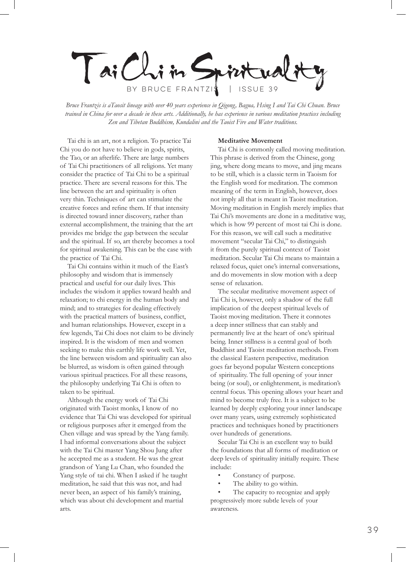Taichim BY BRUCE FRANTZIS | ISSUE 39

*Bruce Frantzis is aTaosit lineage with over 40 years experience in Qigong, Bagua, Hsing I and Tai Chi Chuan. Bruce trained in China for over a decade in these arts. Additionally, he has experience in various meditation practices including Zen and Tibetan Buddhism, Kundalini and the Taoist Fire and Water traditions.*

Tai chi is an art, not a religion. To practice Tai Chi you do not have to believe in gods, spirits, the Tao, or an afterlife. There are large numbers of Tai Chi practitioners of all religions. Yet many consider the practice of Tai Chi to be a spiritual practice. There are several reasons for this. The line between the art and spirituality is often very thin. Techniques of art can stimulate the creative forces and refine them. If that intensity is directed toward inner discovery, rather than external accomplishment, the training that the art provides me bridge the gap between the secular and the spiritual. If so, art thereby becomes a tool for spiritual awakening. This can be the case with the practice of Tai Chi.

Tai Chi contains within it much of the East's philosophy and wisdom that is immensely practical and useful for our daily lives. This includes the wisdom it applies toward health and relaxation; to chi energy in the human body and mind; and to strategies for dealing effectively with the practical matters of business, conflict, and human relationships. However, except in a few legends, Tai Chi does not claim to be divinely inspired. It is the wisdom of men and women seeking to make this earthly life work well. Yet, the line between wisdom and spirituality can also be blurred, as wisdom is often gained through various spiritual practices. For all these reasons, the philosophy underlying Tai Chi is often to taken to be spiritual.

Although the energy work of Tai Chi originated with Taoist monks, I know of no evidence that Tai Chi was developed for spiritual or religious purposes after it emerged from the Chen village and was spread by the Yang family. I had informal conversations about the subject with the Tai Chi master Yang Shou Jung after he accepted me as a student. He was the great grandson of Yang Lu Chan, who founded the Yang style of tai chi. When I asked if he taught meditation, he said that this was not, and had never been, an aspect of his family's training, which was about chi development and martial arts.

### **Meditative Movement**

Tai Chi is commonly called moving meditation. This phrase is derived from the Chinese, gong jing, where dong means to move, and jing means to be still, which is a classic term in Taoism for the English word for meditation. The common meaning of the term in English, however, does not imply all that is meant in Taoist meditation. Moving meditation in English merely implies that Tai Chi's movements are done in a meditative way, which is how 99 percent of most tai Chi is done. For this reason, we will call such a meditative movement "secular Tai Chi," to distinguish it from the purely spiritual context of Taoist meditation. Secular Tai Chi means to maintain a relaxed focus, quiet one's internal conversations, and do movements in slow motion with a deep sense of relaxation.

The secular meditative movement aspect of Tai Chi is, however, only a shadow of the full implication of the deepest spiritual levels of Taoist moving meditation. There it connotes a deep inner stillness that can stably and permanently live at the heart of one's spiritual being. Inner stillness is a central goal of both Buddhist and Taoist meditation methods. From the classical Eastern perspective, meditation goes far beyond popular Western conceptions of spirituality. The full opening of your inner being (or soul), or enlightenment, is meditation's central focus. This opening allows your heart and mind to become truly free. It is a subject to be learned by deeply exploring your inner landscape over many years, using extremely sophisticated practices and techniques honed by practitioners over hundreds of generations.

Secular Tai Chi is an excellent way to build the foundations that all forms of meditation or deep levels of spirituality initially require. These include:

- Constancy of purpose.
- The ability to go within.

The capacity to recognize and apply progressively more subtle levels of your awareness.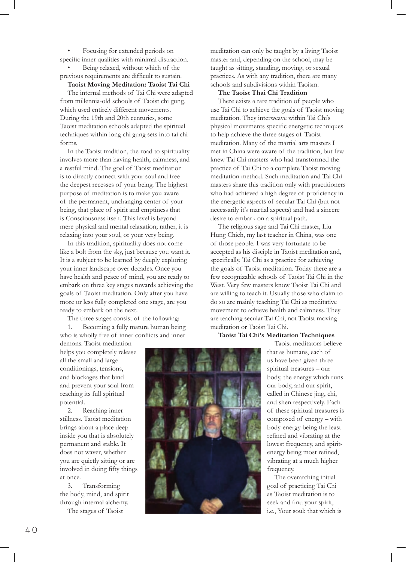Focusing for extended periods on specific inner qualities with minimal distraction. Being relaxed, without which of the previous requirements are difficult to sustain.

### **Taoist Moving Meditation: Taoist Tai Chi**

The internal methods of Tai Chi were adapted from millennia-old schools of Taoist chi gung, which used entirely different movements. During the 19th and 20th centuries, some Taoist meditation schools adapted the spiritual techniques within long chi gung sets into tai chi forms.

In the Taoist tradition, the road to spirituality involves more than having health, calmness, and a restful mind. The goal of Taoist meditation is to directly connect with your soul and free the deepest recesses of your being. The highest purpose of meditation is to make you aware of the permanent, unchanging center of your being, that place of spirit and emptiness that is Consciousness itself. This level is beyond mere physical and mental relaxation; rather, it is relaxing into your soul, or your very being.

In this tradition, spirituality does not come like a bolt from the sky, just because you want it. It is a subject to be learned by deeply exploring your inner landscape over decades. Once you have health and peace of mind, you are ready to embark on three key stages towards achieving the goals of Taoist meditation. Only after you have more or less fully completed one stage, are you ready to embark on the next.

The three stages consist of the following:

1. Becoming a fully mature human being who is wholly free of inner conflicts and inner

demons. Taoist meditation helps you completely release all the small and large conditionings, tensions, and blockages that bind and prevent your soul from reaching its full spiritual potential.

2. Reaching inner stillness. Taoist meditation brings about a place deep inside you that is absolutely permanent and stable. It does not waver, whether you are quietly sitting or are involved in doing fifty things at once.

3. Transforming the body, mind, and spirit through internal alchemy.

The stages of Taoist

meditation can only be taught by a living Taoist master and, depending on the school, may be taught as sitting, standing, moving, or sexual practices. As with any tradition, there are many schools and subdivisions within Taoism.

#### **The Taoist Thai Chi Tradition**

There exists a rare tradition of people who use Tai Chi to achieve the goals of Taoist moving meditation. They interweave within Tai Chi's physical movements specific energetic techniques to help achieve the three stages of Taoist meditation. Many of the martial arts masters I met in China were aware of the tradition, but few knew Tai Chi masters who had transformed the practice of Tai Chi to a complete Taoist moving meditation method. Such meditation and Tai Chi masters share this tradition only with practitioners who had achieved a high degree of proficiency in the energetic aspects of secular Tai Chi (but not necessarily it's martial aspects) and had a sincere desire to embark on a spiritual path.

The religious sage and Tai Chi master, Liu Hung Chieh, my last teacher in China, was one of those people. I was very fortunate to be accepted as his disciple in Taoist meditation and, specifically, Tai Chi as a practice for achieving the goals of Taoist meditation. Today there are a few recognizable schools of Taoist Tai Chi in the West. Very few masters know Taoist Tai Chi and are willing to teach it. Usually those who claim to do so are mainly teaching Tai Chi as meditative movement to achieve health and calmness. They are teaching secular Tai Chi, not Taoist moving meditation or Taoist Tai Chi.

**Taoist Tai Chi's Meditation Techniques**



Taoist meditators believe that as humans, each of us have been given three spiritual treasures – our body, the energy which runs our body, and our spirit, called in Chinese jing, chi, and shen respectively. Each of these spiritual treasures is composed of energy – with body-energy being the least refined and vibrating at the lowest frequency, and spiritenergy being most refined, vibrating at a much higher frequency.

The overarching initial goal of practicing Tai Chi as Taoist meditation is to seek and find your spirit, i.e., Your soul: that which is